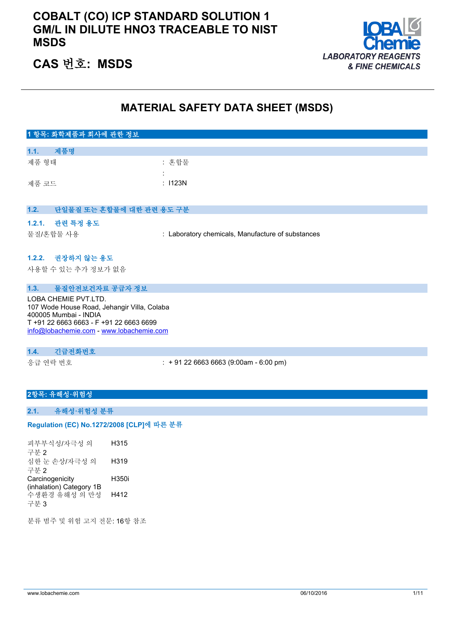# **COBALT (CO) ICP STANDARD SOLUTION 1 GM/L IN DILUTE HNO3 TRACEABLE TO NIST MSDS**



# **CAS 번호: MSDS**

# **MATERIAL SAFETY DATA SHEET (MSDS)**

# **1 항목: 화학제품과 회사에 관한 정보 1.1. 제품명** 제품 형태 : 한 후 기능 : 혼합물 : 제품 코드 THE TELESTIC TELESTIC TELESTIC TELESTIC TELESTIC TELESTIC TELESTIC TELESTIC **1.2. 단일물질 또는 혼합물에 대한 관련 용도 구분 1.2.1. 관련 특정 용도** 물질/혼합물 사용 : Laboratory chemicals, Manufacture of substances **1.2.2. 권장하지 않는 용도** 사용할 수 있는 추가 정보가 없음 **1.3. 물질안전보건자료 공급자 정보**

LOBA CHEMIE PVT.LTD. 107 Wode House Road, Jehangir Villa, Colaba 400005 Mumbai - INDIA T +91 22 6663 6663 - F +91 22 6663 6699 [info@lobachemie.com](mailto:info@lobachemie.com) - <www.lobachemie.com>

### **1.4. 긴급전화번호**

응급 연락 번호 : + 91 22 6663 6663 (9:00am - 6:00 pm)

## **2항목: 유해성·위험성**

#### **2.1. 유해성·위험성 분류**

#### Regulation (EC) No.1272/2008 [CLP]에 따른 분류

피부부식성/자극성 의 구분 2 H315 심한 눈 손상/자극성 의 구분 2 H319 **Carcinogenicity** (inhalation) Category 1B H350i 수생환경 유해성 의 만성 구분 3 H412

분류 범주 및 위험 고지 전문: 16항 참조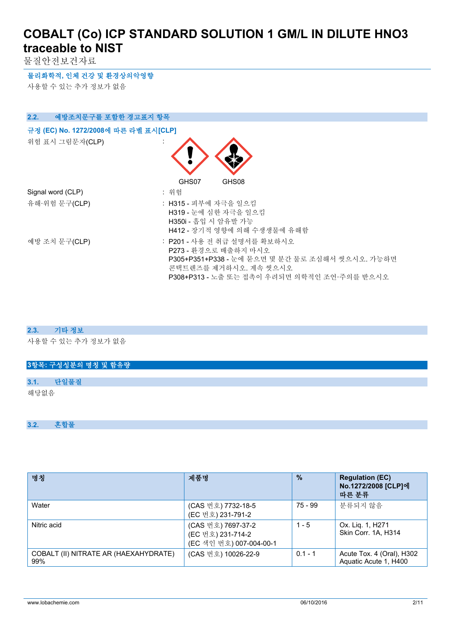물질안전보건자료

**물리화학적, 인체 건강 및 환경상의악영향**

사용할 수 있는 추가 정보가 없음

| 2.2.<br>예방조치문구를 포함한 경고표지 항목          |                                                                                                                                                                                |
|--------------------------------------|--------------------------------------------------------------------------------------------------------------------------------------------------------------------------------|
| 규정 (EC) No. 1272/2008에 따른 라벨 표시[CLP] |                                                                                                                                                                                |
| 위험 표시 그림문자(CLP)                      |                                                                                                                                                                                |
|                                      | GHS07<br>GHS08                                                                                                                                                                 |
| Signal word (CLP)                    | : 위험                                                                                                                                                                           |
| 유해·위험 문구(CLP)                        | : H315 - 피부에 자극을 일으킴<br>H319 - 눈에 심한 자극을 일으킴<br>H350i - 흡입 시 암유발 가능<br>H412 - 장기적 영향에 의해 수생생물에 유해함                                                                             |
| 예방 조치 문구(CLP)                        | : P201 - 사용 전 취급 설명서를 확보하시오<br>P273 - 환경으로 배출하지 마시오<br>P305+P351+P338 - 눈에 묻으면 몇 분간 물로 조심해서 씻으시오. 가능하면<br>콘택트렌즈를 제거하시오. 계속 씻으시오<br>P308+P313 - 노출 또는 접촉이 우려되면 의학적인 조언·주의를 받으시오 |

#### **2.3. 기타 정보**

사용할 수 있는 추가 정보가 없음

|      |      | 3항목: 구성성분의 명칭 및 함유량 |  |  |  |  |  |
|------|------|---------------------|--|--|--|--|--|
|      |      |                     |  |  |  |  |  |
| 3.1. | 단일물질 |                     |  |  |  |  |  |
| 해당없음 |      |                     |  |  |  |  |  |
|      |      |                     |  |  |  |  |  |
|      |      |                     |  |  |  |  |  |

#### **3.2. 혼합물**

| 명칭                                           | 제품명                                                                | $\frac{9}{6}$ | <b>Regulation (EC)</b><br>No.1272/2008 [CLP]에<br>따른 분류 |
|----------------------------------------------|--------------------------------------------------------------------|---------------|--------------------------------------------------------|
| Water                                        | (CAS 번호) 7732-18-5<br>(EC 번호) 231-791-2                            | 75 - 99       | 분류되지 않음                                                |
| Nitric acid                                  | (CAS 번호) 7697-37-2<br>(EC 번호) 231-714-2<br>(EC 색인 번호) 007-004-00-1 | $1 - 5$       | Ox. Liq. 1, H271<br>Skin Corr. 1A, H314                |
| COBALT (II) NITRATE AR (HAEXAHYDRATE)<br>99% | (CAS 번호) 10026-22-9                                                | $0.1 - 1$     | Acute Tox. 4 (Oral), H302<br>Aquatic Acute 1, H400     |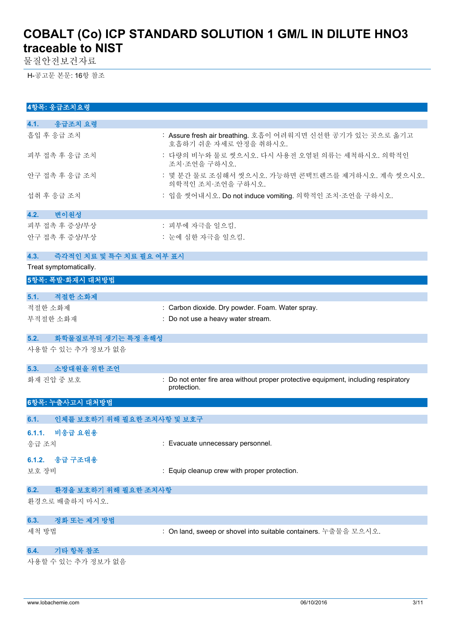물질안전보건자료

H-공고문 본문: 16항 참조

| 4항목: 응급조치요령                        |                                                                                                    |
|------------------------------------|----------------------------------------------------------------------------------------------------|
| 응급조치 요령<br>4.1.                    |                                                                                                    |
| 흡입 후 응급 조치                         | : Assure fresh air breathing. 호흡이 어려워지면 신선한 공기가 있는 곳으로 옮기고<br>호흡하기 쉬운 자세로 안정을 취하시오.                |
| 피부 접촉 후 응급 조치                      | : 다량의 비누와 물로 씻으시오. 다시 사용전 오염된 의류는 세척하시오. 의학적인<br>조치·조언을 구하시오.                                      |
| 안구 접촉 후 응급 조치                      | : 몇 분간 물로 조심해서 씻으시오. 가능하면 콘택트렌즈를 제거하시오. 계속 씻으시오.<br>의학적인 조치·조언을 구하시오.                              |
| 섭취 후 응급 조치                         | : 입을 씻어내시오. Do not induce vomiting. 의학적인 조치·조언을 구하시오.                                              |
| 변이원성<br>4.2.                       |                                                                                                    |
| 피부 접촉 후 증상/부상                      | : 피부에 자극을 일으킴.                                                                                     |
| 안구 접촉 후 증상/부상                      | : 눈에 심한 자극을 일으킴.                                                                                   |
| 4.3.<br>즉각적인 치료 및 특수 치료 필요 여부 표시   |                                                                                                    |
| Treat symptomatically.             |                                                                                                    |
| 5항목: 폭발·화재시 대처방법                   |                                                                                                    |
| 적절한 소화제<br>5.1.                    |                                                                                                    |
| 적절한 소화제                            | : Carbon dioxide. Dry powder. Foam. Water spray.                                                   |
| 부적절한 소화재                           | : Do not use a heavy water stream.                                                                 |
|                                    |                                                                                                    |
| 화학물질로부터 생기는 특정 유해성<br>5.2.         |                                                                                                    |
| 사용할 수 있는 추가 정보가 없음                 |                                                                                                    |
| 소방대원을 위한 조언<br>5.3.                |                                                                                                    |
| 화재 진압 중 보호                         | : Do not enter fire area without proper protective equipment, including respiratory<br>protection. |
| 6항목: 누출사고시 대처방법                    |                                                                                                    |
| 6.1.<br>인체를 보호하기 위해 필요한 조치사항 및 보호구 |                                                                                                    |
| 비응급 요원용<br>6.1.1.                  |                                                                                                    |
| 응급 조치                              | : Evacuate unnecessary personnel.                                                                  |
|                                    |                                                                                                    |
| 6.1.2. 응급 구조대용                     |                                                                                                    |
| 보호 장비                              | : Equip cleanup crew with proper protection.                                                       |
| 6.2.<br>환경을 보호하기 위해 필요한 조치사항       |                                                                                                    |
| 환경으로 배출하지 마시오.                     |                                                                                                    |
| 정화 또는 제거 방법<br>6.3.                |                                                                                                    |
| 세척 방법                              | : On land, sweep or shovel into suitable containers. 누출물을 모으시오.                                    |
| 기타 항목 참조<br>6.4.                   |                                                                                                    |
| 사용할 수 있는 추가 정보가 없음                 |                                                                                                    |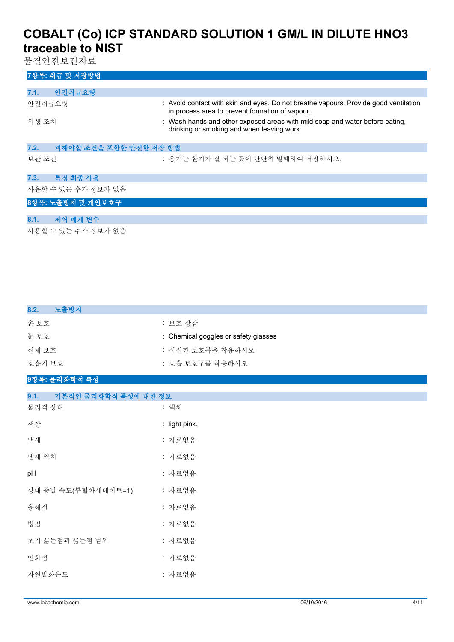물질안전보건자료

| 7항목: 취급 및 저장방법                 |                                                                                                                                         |
|--------------------------------|-----------------------------------------------------------------------------------------------------------------------------------------|
|                                |                                                                                                                                         |
| 안전취급요령<br>7.1.                 |                                                                                                                                         |
| 안전취급요령                         | : Avoid contact with skin and eyes. Do not breathe vapours. Provide good ventilation<br>in process area to prevent formation of vapour. |
| 위생 조치                          | : Wash hands and other exposed areas with mild soap and water before eating,<br>drinking or smoking and when leaving work.              |
| 피해야할 조건을 포함한 안전한 저장 방법<br>7.2. |                                                                                                                                         |
| 보관 조건                          | : 용기는 환기가 잘 되는 곳에 단단히 밀폐하여 저장하시오.                                                                                                       |
| 특정 최종 사용<br>7.3.               |                                                                                                                                         |
| 사용할 수 있는 추가 정보가 없음             |                                                                                                                                         |
| 8항목: 노출방지 및 개인보호구              |                                                                                                                                         |
|                                |                                                                                                                                         |
| 8.1.<br>제어 매개 변수               |                                                                                                                                         |
|                                |                                                                                                                                         |

사용할 수 있는 추가 정보가 없음

| 8.2.<br>노출방지                           |                                      |
|----------------------------------------|--------------------------------------|
| 손보호                                    | : 보호 장갑                              |
| 눈보호                                    | : Chemical goggles or safety glasses |
| 신체 보호                                  | : 적절한 보호복을 착용하시오                     |
| 호흡기 보호                                 | : 호흡 보호구를 착용하시오                      |
| 9항목: 물리화학적 특성                          |                                      |
|                                        |                                      |
| Q <sub>1</sub><br>기보저이 무리하하저 트서에 대하 저日 |                                      |

| 기끈역린 할디와익역 목장에 대한 정보 |
|----------------------|
| : 액체                 |
| : light pink.        |
| : 자료없음               |
| : 자료없음               |
| : 자료없음               |
| : 자료없음               |
| : 자료없음               |
| : 자료없음               |
| : 자료없음               |
| : 자료없음               |
| : 자료없음               |
|                      |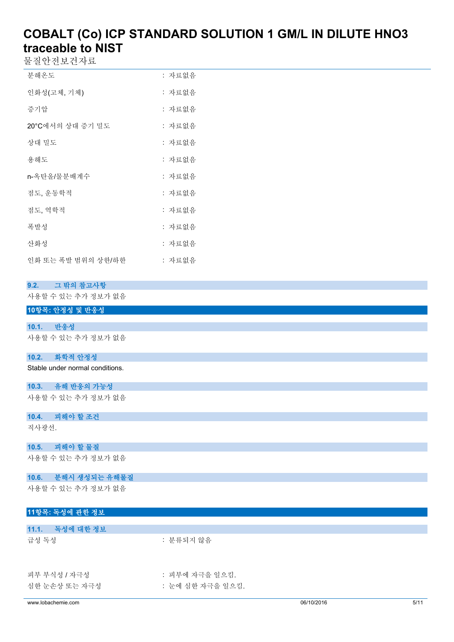물질안전보건자료

| 분해온도                     | : 자료없음 |
|--------------------------|--------|
| 인화성(고체, 기체)              | : 자료없음 |
| 증기압                      | : 자료없음 |
| <b>20°C</b> 에서의 상대 증기 밀도 | : 자료없음 |
| 상대 밀도                    | : 자료없음 |
| 용해도                      | : 자료없음 |
| n-옥탄올/물분배계수              | : 자료없음 |
| 점도, 운동학적                 | : 자료없음 |
| 점도, 역학적                  | : 자료없음 |
| 폭발성                      | : 자료없음 |
| 사화성                      | : 자료없음 |
| 인화 또는 폭발 범위의 상한/하한       | : 자료없음 |

### **9.2. 그 밖의 참고사항**

사용할 수 있는 추가 정보가 없음

|  |  | 10항목: 안정성 및 반응성 |
|--|--|-----------------|
|--|--|-----------------|

#### **10.1. 반응성**

사용할 수 있는 추가 정보가 없음

#### **10.2. 화학적 안정성**

Stable under normal conditions.

# **10.3. 유해 반응의 가능성**

사용할 수 있는 추가 정보가 없음

## **10.4. 피해야 할 조건** 직사광선.

**10.5. 피해야 할 물질**

사용할 수 있는 추가 정보가 없음

#### **10.6. 분해시 생성되는 유해물질**

사용할 수 있는 추가 정보가 없음

### **11항목: 독성에 관한 정보**

| 11.1.<br>독성에 대한 정보            |                                    |
|-------------------------------|------------------------------------|
| 급성 독성                         | : 분류되지 않음                          |
| 피부 부식성 / 자극성<br>심한 눈손상 또는 자극성 | : 피부에 자극을 일으킴.<br>: 눈에 심한 자극을 일으킴. |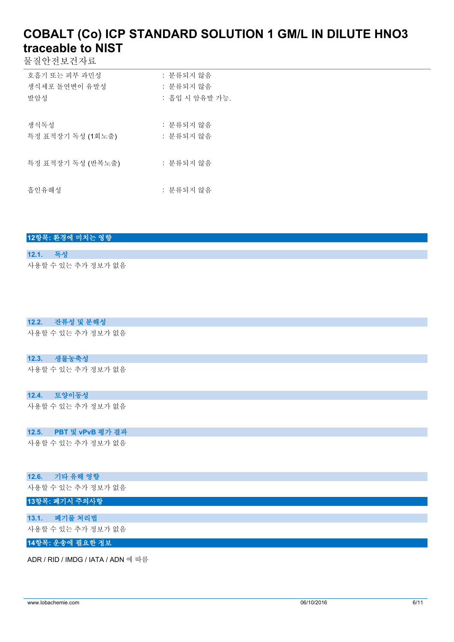물질안전보건자료

| 호흡기 또는 피부 과민성     | : 분류되지 않음      |
|-------------------|----------------|
| 생식세포 돌여변이 유발성     | : 분류되지 않음      |
| 발암성               | : 흡입 시 암유발 가능. |
|                   |                |
| 생식독성              | : 분류되지 않음      |
| 특정 표적장기 독성 (1회노출) | : 분류되지 않음      |
|                   |                |
| 특정 표적장기 독성 (반복노출) | : 분류되지 않음      |
|                   |                |
| 흡인유해성             | : 분류되지 않음      |
|                   |                |

### **12항목: 환경에 미치는 영향**

### **12.1. 독성** 사용할 수 있는 추가 정보가 없음

# **12.2. 잔류성 및 분해성**

사용할 수 있는 추가 정보가 없음

#### **12.3. 생물농축성**

사용할 수 있는 추가 정보가 없음

#### **12.4. 토양이동성**

사용할 수 있는 추가 정보가 없음

#### **12.5. PBT 및 vPvB 평가 결과**

사용할 수 있는 추가 정보가 없음

#### **12.6. 기타 유해 영향**

사용할 수 있는 추가 정보가 없음

## **13항목: 폐기시 주의사항**

## **13.1. 폐기물 처리법**

사용할 수 있는 추가 정보가 없음

### **14항목: 운송에 필요한 정보**

ADR / RID / IMDG / IATA / ADN 에 따름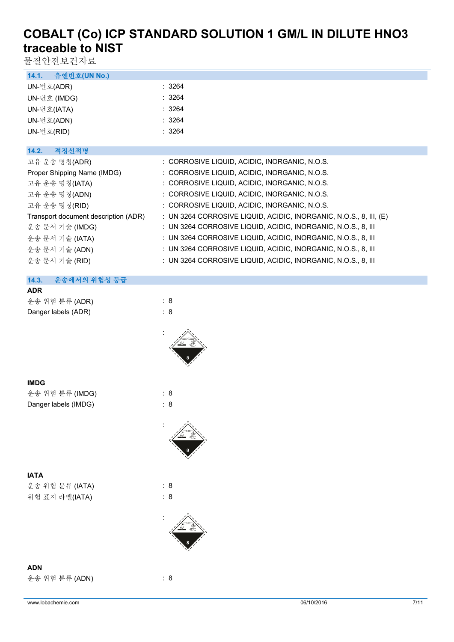물질안전보건자료

| 유엔번호(UN No.)<br>14.1.                |                                                                    |
|--------------------------------------|--------------------------------------------------------------------|
| UN-번호(ADR)                           | : 3264                                                             |
| UN-번호 (IMDG)                         | : 3264                                                             |
| UN-번호(IATA)                          | : 3264                                                             |
| UN-번호(ADN)                           | : 3264                                                             |
| UN-번호(RID)                           | : 3264                                                             |
|                                      |                                                                    |
| 적정선적명<br>14.2.                       |                                                                    |
| 고유 운송 명칭(ADR)                        | : CORROSIVE LIQUID, ACIDIC, INORGANIC, N.O.S.                      |
| Proper Shipping Name (IMDG)          | : CORROSIVE LIQUID, ACIDIC, INORGANIC, N.O.S.                      |
| 고유 운송 명칭(IATA)                       | : CORROSIVE LIQUID, ACIDIC, INORGANIC, N.O.S.                      |
| 고유 운송 명칭(ADN)                        | : CORROSIVE LIQUID, ACIDIC, INORGANIC, N.O.S.                      |
| 고유 운송 명칭(RID)                        | : CORROSIVE LIQUID, ACIDIC, INORGANIC, N.O.S.                      |
| Transport document description (ADR) | : UN 3264 CORROSIVE LIQUID, ACIDIC, INORGANIC, N.O.S., 8, III, (E) |
| 운송 문서 기술 (IMDG)                      | : UN 3264 CORROSIVE LIQUID, ACIDIC, INORGANIC, N.O.S., 8, III      |
| 운송 문서 기술 (IATA)                      | : UN 3264 CORROSIVE LIQUID, ACIDIC, INORGANIC, N.O.S., 8, III      |
| 운송 문서 기술 (ADN)                       | : UN 3264 CORROSIVE LIQUID, ACIDIC, INORGANIC, N.O.S., 8, III      |
| 운송 문서 기술 (RID)                       | : UN 3264 CORROSIVE LIQUID, ACIDIC, INORGANIC, N.O.S., 8, III      |

# **14.3. 운송에서의 위험성 등급**

| <b>ADR</b>          |     |
|---------------------|-----|
| 운송 위험 분류 (ADR)      | : 8 |
| Danger labels (ADR) | : 8 |



| ×<br>I<br>. .<br>v |
|--------------------|
|--------------------|

| 운송 위험 분류 (IMDG)      | : 8 |  |
|----------------------|-----|--|
| Danger labels (IMDG) | : 8 |  |





**ADN**

운송 위험 분류 (ADN) : 8

: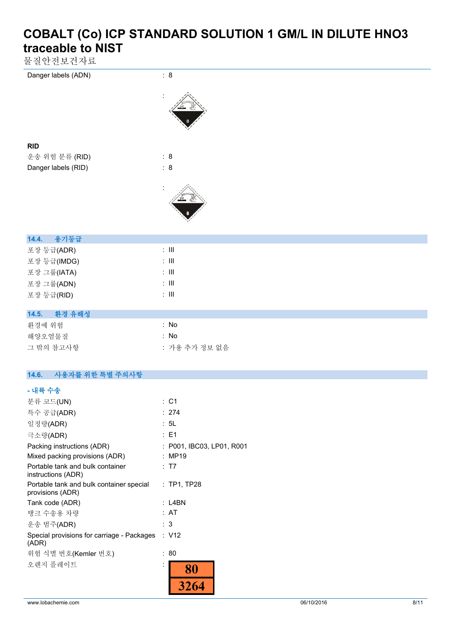물질안전보건자료

| ㄷ ㄷ ㄴ ㄴㅡ ㄴ´ ㅣㅡ           |                |
|--------------------------|----------------|
| Danger labels (ADN)      | $\therefore$ 8 |
|                          |                |
| <b>RID</b>               |                |
| 운송 위험 분류 (RID)           | $\therefore$ 8 |
| Danger labels (RID)      | $\colon$ 8     |
|                          |                |
| 용기등급<br>14.4.            |                |
| 포장 등급(ADR)               | $\div$ III     |
| 포장 등급(IMDG)              | $\lesssim 10$  |
| 포장 그룹(IATA)              | $\div$ III     |
| 포장 그룹(ADN)               | $\lesssim 10$  |
| 포장 등급(RID)               | $\lesssim 10$  |
| 14.5.<br>환경 유해성          |                |
| 환경에 위험                   | : No           |
| 해양오염물질                   | : No           |
| 그 밖의 참고사항                | : 가용 추가 정보 없음  |
| 사용자를 위한 특별 주의사항<br>14.6. |                |
| - 내륙 수송                  |                |
| 분류 코드(UN)                | : C1           |
| 특수 공급(ADR)               | : 274          |
| 일정량(ADR)                 | : 5L           |
| 7.27100                  | $E = 4$        |

| $\epsilon$ 0 0 0 0 0 $\mu$                                   |   |                           |
|--------------------------------------------------------------|---|---------------------------|
| 극소량(ADR)                                                     |   | : E1                      |
| Packing instructions (ADR)                                   |   | : P001, IBC03, LP01, R001 |
| Mixed packing provisions (ADR)                               |   | : MP19                    |
| Portable tank and bulk container<br>instructions (ADR)       |   | : T7                      |
| Portable tank and bulk container special<br>provisions (ADR) |   | $:$ TP1, TP28             |
| Tank code (ADR)                                              |   | : L4BN                    |
| 탱크 수송용 차량                                                    |   | : AT                      |
| 운송 범주(ADR)                                                   |   | : 3                       |
| Special provisions for carriage - Packages<br>(ADR)          |   | : V12                     |
| 위험 식별 번호(Kemler 번호)                                          |   | 80                        |
| 오렌지 플레이트                                                     | ٠ | 80                        |
|                                                              |   |                           |
|                                                              |   |                           |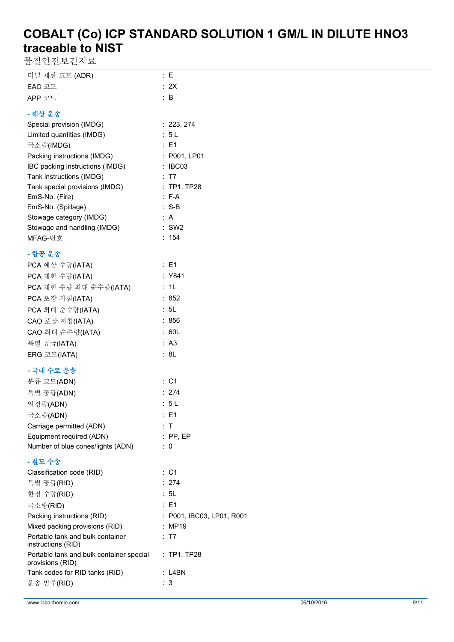물질안전보건자료

| 터널 제한 코드 (ADR) | : E  |
|----------------|------|
| EAC 코드         | : 2X |
| APP 코드         | ∶ B  |
| - 해상 운송        |      |

| Special provision (IMDG)        | : 223, 274    |
|---------------------------------|---------------|
| Limited quantities (IMDG)       | : 5 L         |
| 극소량(IMDG)                       | $E = 1$       |
| Packing instructions (IMDG)     | : P001, LP01  |
| IBC packing instructions (IMDG) | : IBC03       |
| Tank instructions (IMDG)        | : T7          |
| Tank special provisions (IMDG)  | $:$ TP1, TP28 |
| EmS-No. (Fire)                  | $: F-A$       |
| EmS-No. (Spillage)              | $:$ S-B       |
| Stowage category (IMDG)         | ÷Α            |
| Stowage and handling (IMDG)     | $:$ SW2       |
| MFAG-번호                         | : 154         |

# **- 항공 운송**

| PCA 예상 수량(IATA)        | : E1   |
|------------------------|--------|
| PCA 제한 수량(IATA)        | : Y841 |
| PCA 제한 수량 최대 순수량(IATA) | : 1L   |
| PCA 포장 지침(IATA)        | : 852  |
| PCA 최대 순수량(IATA)       | : 5L   |
| CAO 포장 지침(IATA)        | : 856  |
| CAO 최대 순수량(IATA)       | : 60L  |
| 특별 공급(IATA)            | : A3   |
| <b>ERG</b> 코드(IATA)    | : 8L   |

# **- 국내 수로 운송**

| 분류 코드(ADN)                        | :C1             |
|-----------------------------------|-----------------|
|                                   |                 |
| 특별 공급(ADN)                        | : 274           |
| 일정량(ADN)                          | : 5 L           |
| 극소량(ADN)                          | $\therefore$ E1 |
| Carriage permitted (ADN)          | ÷Т              |
| Equipment required (ADN)          | $:$ PP. EP      |
| Number of blue cones/lights (ADN) | : 0             |

# **- 철도 수송**

| Classification code (RID)                                    |     | :C1                       |
|--------------------------------------------------------------|-----|---------------------------|
| 특별 공급(RID)                                                   |     | : 274                     |
| 한정 수량(RID)                                                   |     | : 5L                      |
| 극소량(RID)                                                     |     | $\therefore$ E1           |
| Packing instructions (RID)                                   |     | : P001. IBC03. LP01. R001 |
| Mixed packing provisions (RID)                               |     | : MP19                    |
| Portable tank and bulk container<br>instructions (RID)       |     | : T7                      |
| Portable tank and bulk container special<br>provisions (RID) |     | $:$ TP1, TP28             |
| Tank codes for RID tanks (RID)                               |     | : L4BN                    |
| 운송 범주(RID)                                                   | : 3 |                           |
|                                                              |     |                           |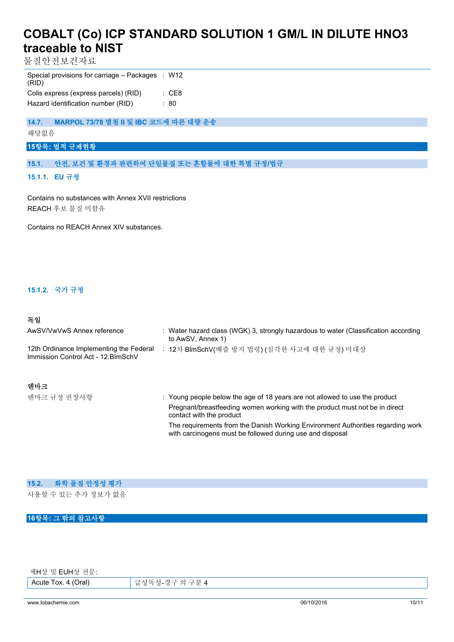물질안전보건자료

| Special provisions for carriage – Packages : W12<br>(RID) |       |
|-----------------------------------------------------------|-------|
| Colis express (express parcels) (RID)                     | : CE8 |
| Hazard identification number (RID)                        | : 80  |

**14.7. MARPOL 73/78 별첨 II 및 IBC 코드에 따른 대량 운송**

해당없음

### **15항목: 법적 규제현황**

**15.1. 안전, 보건 및 환경과 관련하여 단일물질 또는 혼합물에 대한 특별 규정/법규**

**15.1.1. EU 규정**

Contains no substances with Annex XVII restrictions REACH 후보 물질 미함유

Contains no REACH Annex XIV substances.

### **15.1.2. 국가 규정**

#### **독일**

| AwSV/VwVwS Annex reference                                                     | : Water hazard class (WGK) 3, strongly hazardous to water (Classification according<br>to AwSV, Annex 1) |
|--------------------------------------------------------------------------------|----------------------------------------------------------------------------------------------------------|
| 12th Ordinance Implementing the Federal<br>Immission Control Act - 12. BlmSchV | 12차 BlmSchV(배출 방지 법령) (심각한 사고에 대한 규정) 미대상                                                                |
| 덴마크                                                                            |                                                                                                          |

텐마크 규정 권장사항 **: Young people below the age of 18 years are not allowed to use the product** Pregnant/breastfeeding women working with the product must not be in direct contact with the product The requirements from the Danish Working Environment Authorities regarding work with carcinogens must be followed during use and disposal

#### **15.2. 화학 물질 안정성 평가**

사용할 수 있는 추가 정보가 없음

### **16항목: 그 밖의 참고사항**

제H상 및 EUH상 전문:

Acute Tox. 4 (Oral) 급성독성-경구 의 구분 4

www.lobachemie.com 06/10/2016 10/11